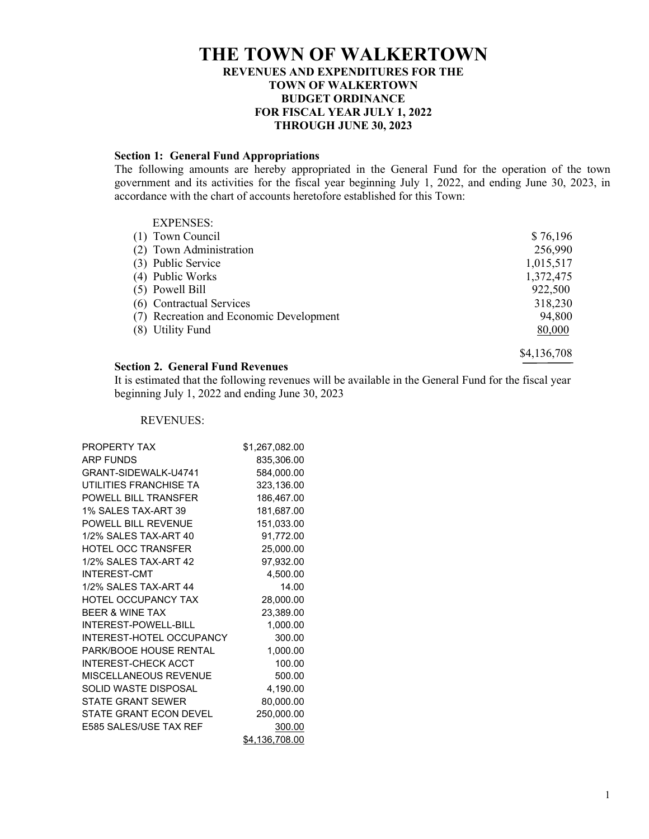# **THE TOWN OF WALKERTOWN REVENUES AND EXPENDITURES FOR THE TOWN OF WALKERTOWN BUDGET ORDINANCE FOR FISCAL YEAR JULY 1, 2022 THROUGH JUNE 30, 2023**

#### **Section 1: General Fund Appropriations**

The following amounts are hereby appropriated in the General Fund for the operation of the town government and its activities for the fiscal year beginning July 1, 2022, and ending June 30, 2023, in accordance with the chart of accounts heretofore established for this Town:

| <b>EXPENSES:</b>                        |             |
|-----------------------------------------|-------------|
| (1) Town Council                        | \$76,196    |
| (2) Town Administration                 | 256,990     |
| (3) Public Service                      | 1,015,517   |
| (4) Public Works                        | 1,372,475   |
| (5) Powell Bill                         | 922,500     |
| (6) Contractual Services                | 318,230     |
| (7) Recreation and Economic Development | 94,800      |
| (8) Utility Fund                        | 80,000      |
|                                         | \$4,136,708 |

## **Section 2. General Fund Revenues**

It is estimated that the following revenues will be available in the General Fund for the fiscal year beginning July 1, 2022 and ending June 30, 2023

### REVENUES:

| <b>PROPERTY TAX</b>             | \$1,267,082.00 |
|---------------------------------|----------------|
| <b>ARP FUNDS</b>                | 835,306.00     |
| GRANT-SIDEWALK-U4741            | 584,000.00     |
| UTILITIES FRANCHISE TA          | 323,136.00     |
| POWELL BILL TRANSFER            | 186,467.00     |
| 1% SALES TAX-ART 39             | 181,687.00     |
| POWELL BILL REVENUE             | 151,033.00     |
| 1/2% SAI FS TAX-ART 40          | 91,772.00      |
| <b>HOTEL OCC TRANSFER</b>       | 25,000.00      |
| 1/2% SALES TAX-ART 42           | 97,932.00      |
| <b>INTEREST-CMT</b>             | 4,500.00       |
| 1/2% SAI FS TAX-ART 44          | 14.00          |
| <b>HOTEL OCCUPANCY TAX</b>      | 28,000.00      |
| <b>BEER &amp; WINE TAX</b>      | 23,389.00      |
| <b>INTEREST-POWELL-BILL</b>     | 1,000.00       |
| <b>INTEREST-HOTEL OCCUPANCY</b> | 300.00         |
| PARK/BOOE HOUSE RENTAL          | 1,000.00       |
| <b>INTEREST-CHECK ACCT</b>      | 100.00         |
| MISCELLANEOUS REVENUE           | 500.00         |
| SOLID WASTE DISPOSAL            | 4,190.00       |
| STATE GRANT SEWER               | 80,000.00      |
| STATE GRANT ECON DEVEL          | 250,000.00     |
| E585 SALES/USE TAX REF          | 300.00         |
|                                 | \$4,136,708.00 |